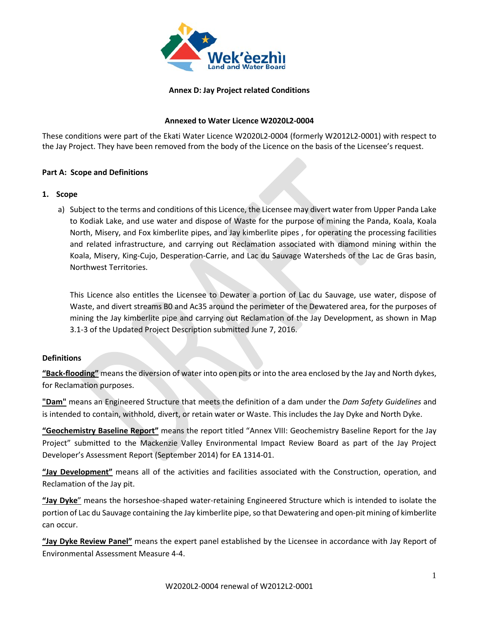

#### **Annex D: Jay Project related Conditions**

#### **Annexed to Water Licence W2020L2-0004**

These conditions were part of the Ekati Water Licence W2020L2-0004 (formerly W2012L2-0001) with respect to the Jay Project. They have been removed from the body of the Licence on the basis of the Licensee's request.

#### **Part A: Scope and Definitions**

#### **1. Scope**

a) Subject to the terms and conditions of this Licence, the Licensee may divert water from Upper Panda Lake to Kodiak Lake, and use water and dispose of Waste for the purpose of mining the Panda, Koala, Koala North, Misery, and Fox kimberlite pipes, and Jay kimberlite pipes , for operating the processing facilities and related infrastructure, and carrying out Reclamation associated with diamond mining within the Koala, Misery, King-Cujo, Desperation-Carrie, and Lac du Sauvage Watersheds of the Lac de Gras basin, Northwest Territories.

This Licence also entitles the Licensee to Dewater a portion of Lac du Sauvage, use water, dispose of Waste, and divert streams B0 and Ac35 around the perimeter of the Dewatered area, for the purposes of mining the Jay kimberlite pipe and carrying out Reclamation of the Jay Development, as shown in Map 3.1-3 of the Updated Project Description submitted June 7, 2016.

#### **Definitions**

**"Back-flooding"** means the diversion of water into open pits or into the area enclosed by the Jay and North dykes, for Reclamation purposes.

**"Dam"** means an Engineered Structure that meets the definition of a dam under the *Dam Safety Guidelines* and is intended to contain, withhold, divert, or retain water or Waste. This includes the Jay Dyke and North Dyke.

**"Geochemistry Baseline Report"** means the report titled "Annex VIII: Geochemistry Baseline Report for the Jay Project" submitted to the Mackenzie Valley Environmental Impact Review Board as part of the Jay Project Developer's Assessment Report (September 2014) for EA 1314-01.

**"Jay Development"** means all of the activities and facilities associated with the Construction, operation, and Reclamation of the Jay pit.

**"Jay Dyke**" means the horseshoe-shaped water-retaining Engineered Structure which is intended to isolate the portion of Lac du Sauvage containing the Jay kimberlite pipe, so that Dewatering and open-pit mining of kimberlite can occur.

**"Jay Dyke Review Panel"** means the expert panel established by the Licensee in accordance with Jay Report of Environmental Assessment Measure 4-4.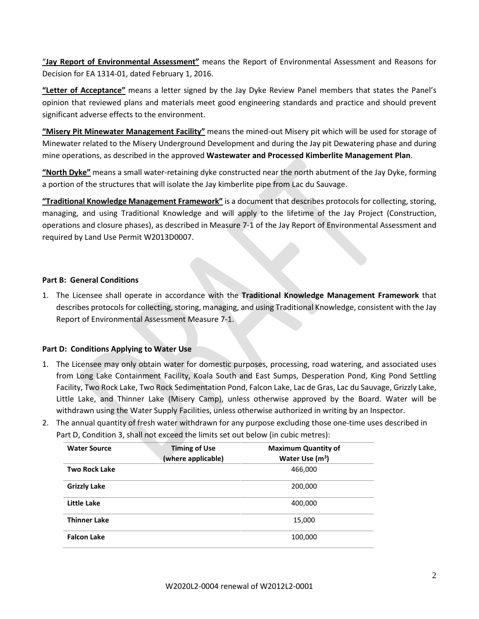"**Jay Report of Environmental Assessment"** means the Report of Environmental Assessment and Reasons for Decision for EA 1314-01, dated February 1, 2016.

**"Letter of Acceptance"** means a letter signed by the Jay Dyke Review Panel members that states the Panel's opinion that reviewed plans and materials meet good engineering standards and practice and should prevent significant adverse effects to the environment.

**"Misery Pit Minewater Management Facility"** means the mined-out Misery pit which will be used for storage of Minewater related to the Misery Underground Development and during the Jay pit Dewatering phase and during mine operations, as described in the approved **Wastewater and Processed Kimberlite Management Plan**.

**"North Dyke"** means a small water-retaining dyke constructed near the north abutment of the Jay Dyke, forming a portion of the structures that will isolate the Jay kimberlite pipe from Lac du Sauvage.

**"Traditional Knowledge Management Framework"** is a document that describes protocols for collecting, storing, managing, and using Traditional Knowledge and will apply to the lifetime of the Jay Project (Construction, operations and closure phases), as described in Measure 7-1 of the Jay Report of Environmental Assessment and required by Land Use Permit W2013D0007.

#### **Part B: General Conditions**

1. The Licensee shall operate in accordance with the **Traditional Knowledge Management Framework** that describes protocols for collecting, storing, managing, and using Traditional Knowledge, consistent with the Jay Report of Environmental Assessment Measure 7-1.

#### **Part D: Conditions Applying to Water Use**

- 1. The Licensee may only obtain water for domestic purposes, processing, road watering, and associated uses from Long Lake Containment Facility, Koala South and East Sumps, Desperation Pond, King Pond Settling Facility, Two Rock Lake, Two Rock Sedimentation Pond, Falcon Lake, Lac de Gras, Lac du Sauvage, Grizzly Lake, Little Lake, and Thinner Lake (Misery Camp), unless otherwise approved by the Board. Water will be withdrawn using the Water Supply Facilities, unless otherwise authorized in writing by an Inspector.
- 2. The annual quantity of fresh water withdrawn for any purpose excluding those one-time uses described in Part D, Condition 3, shall not exceed the limits set out below (in cubic metres):

| <b>Water Source</b>  | <b>Timing of Use</b><br>(where applicable) | <b>Maximum Quantity of</b><br>Water Use $(m3)$ |
|----------------------|--------------------------------------------|------------------------------------------------|
| <b>Two Rock Lake</b> |                                            | 466,000                                        |
| <b>Grizzly Lake</b>  |                                            | 200,000                                        |
| Little Lake          |                                            | 400,000                                        |
| <b>Thinner Lake</b>  |                                            | 15,000                                         |
| <b>Falcon Lake</b>   |                                            | 100,000                                        |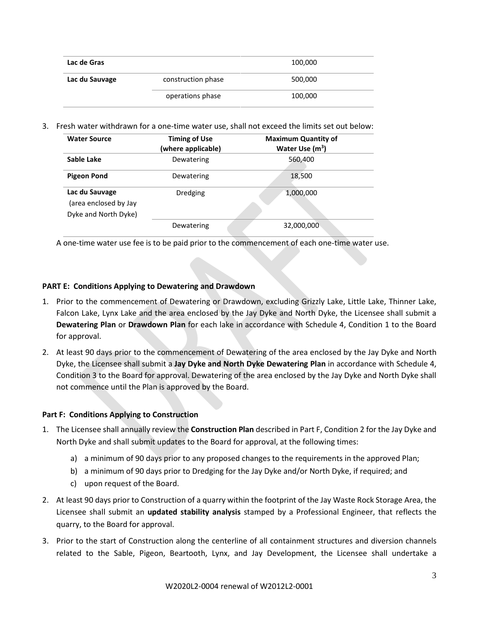| Lac de Gras    |                    | 100,000 |
|----------------|--------------------|---------|
| Lac du Sauvage | construction phase | 500,000 |
|                | operations phase   | 100,000 |

3. Fresh water withdrawn for a one-time water use, shall not exceed the limits set out below:

| <b>Water Source</b>                                             | <b>Timing of Use</b><br>(where applicable) | <b>Maximum Quantity of</b><br>Water Use $(m3)$ |
|-----------------------------------------------------------------|--------------------------------------------|------------------------------------------------|
| Sable Lake                                                      | Dewatering                                 | 560,400                                        |
| <b>Pigeon Pond</b>                                              | Dewatering                                 | 18,500                                         |
| Lac du Sauvage<br>(area enclosed by Jay<br>Dyke and North Dyke) | Dredging                                   | 1,000,000                                      |
|                                                                 | Dewatering                                 | 32,000,000                                     |

A one-time water use fee is to be paid prior to the commencement of each one-time water use.

### **PART E: Conditions Applying to Dewatering and Drawdown**

- 1. Prior to the commencement of Dewatering or Drawdown, excluding Grizzly Lake, Little Lake, Thinner Lake, Falcon Lake, Lynx Lake and the area enclosed by the Jay Dyke and North Dyke, the Licensee shall submit a **Dewatering Plan** or **Drawdown Plan** for each lake in accordance with Schedule 4, Condition 1 to the Board for approval.
- 2. At least 90 days prior to the commencement of Dewatering of the area enclosed by the Jay Dyke and North Dyke, the Licensee shall submit a **Jay Dyke and North Dyke Dewatering Plan** in accordance with Schedule 4, Condition 3 to the Board for approval. Dewatering of the area enclosed by the Jay Dyke and North Dyke shall not commence until the Plan is approved by the Board.

#### **Part F: Conditions Applying to Construction**

- 1. The Licensee shall annually review the **Construction Plan** described in Part F, Condition 2 for the Jay Dyke and North Dyke and shall submit updates to the Board for approval, at the following times:
	- a) a minimum of 90 days prior to any proposed changes to the requirements in the approved Plan;
	- b) a minimum of 90 days prior to Dredging for the Jay Dyke and/or North Dyke, if required; and
	- c) upon request of the Board.
- 2. At least 90 days prior to Construction of a quarry within the footprint of the Jay Waste Rock Storage Area, the Licensee shall submit an **updated stability analysis** stamped by a Professional Engineer, that reflects the quarry, to the Board for approval.
- 3. Prior to the start of Construction along the centerline of all containment structures and diversion channels related to the Sable, Pigeon, Beartooth, Lynx, and Jay Development, the Licensee shall undertake a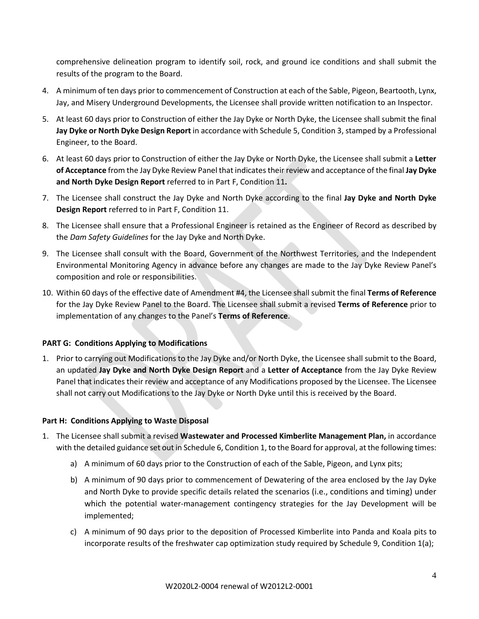comprehensive delineation program to identify soil, rock, and ground ice conditions and shall submit the results of the program to the Board.

- 4. A minimum of ten days prior to commencement of Construction at each of the Sable, Pigeon, Beartooth, Lynx, Jay, and Misery Underground Developments, the Licensee shall provide written notification to an Inspector.
- 5. At least 60 days prior to Construction of either the Jay Dyke or North Dyke, the Licensee shall submit the final **Jay Dyke or North Dyke Design Report** in accordance with Schedule 5, Condition 3, stamped by a Professional Engineer, to the Board.
- 6. At least 60 days prior to Construction of either the Jay Dyke or North Dyke, the Licensee shall submit a **Letter of Acceptance** from the Jay Dyke Review Panel that indicates their review and acceptance of the final **Jay Dyke and North Dyke Design Report** referred to in Part F, Condition 11**.**
- 7. The Licensee shall construct the Jay Dyke and North Dyke according to the final **Jay Dyke and North Dyke Design Report** referred to in Part F, Condition 11.
- 8. The Licensee shall ensure that a Professional Engineer is retained as the Engineer of Record as described by the *Dam Safety Guidelines* for the Jay Dyke and North Dyke.
- 9. The Licensee shall consult with the Board, Government of the Northwest Territories, and the Independent Environmental Monitoring Agency in advance before any changes are made to the Jay Dyke Review Panel's composition and role or responsibilities.
- 10. Within 60 days of the effective date of Amendment #4, the Licensee shall submit the final **Terms of Reference** for the Jay Dyke Review Panel to the Board. The Licensee shall submit a revised **Terms of Reference** prior to implementation of any changes to the Panel's **Terms of Reference**.

### **PART G: Conditions Applying to Modifications**

1. Prior to carrying out Modifications to the Jay Dyke and/or North Dyke, the Licensee shall submit to the Board, an updated **Jay Dyke and North Dyke Design Report** and a **Letter of Acceptance** from the Jay Dyke Review Panel that indicates their review and acceptance of any Modifications proposed by the Licensee. The Licensee shall not carry out Modifications to the Jay Dyke or North Dyke until this is received by the Board.

### **Part H: Conditions Applying to Waste Disposal**

- 1. The Licensee shall submit a revised **Wastewater and Processed Kimberlite Management Plan,** in accordance with the detailed guidance set out in Schedule 6, Condition 1, to the Board for approval, at the following times:
	- a) A minimum of 60 days prior to the Construction of each of the Sable, Pigeon, and Lynx pits;
	- b) A minimum of 90 days prior to commencement of Dewatering of the area enclosed by the Jay Dyke and North Dyke to provide specific details related the scenarios (i.e., conditions and timing) under which the potential water-management contingency strategies for the Jay Development will be implemented;
	- c) A minimum of 90 days prior to the deposition of Processed Kimberlite into Panda and Koala pits to incorporate results of the freshwater cap optimization study required by Schedule 9, Condition 1(a);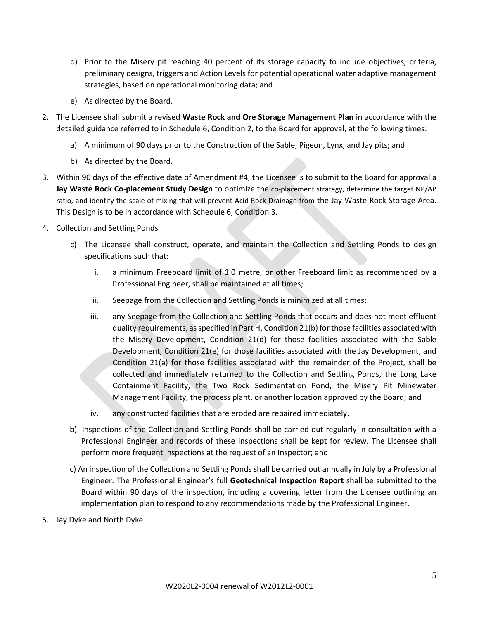- d) Prior to the Misery pit reaching 40 percent of its storage capacity to include objectives, criteria, preliminary designs, triggers and Action Levels for potential operational water adaptive management strategies, based on operational monitoring data; and
- e) As directed by the Board.
- 2. The Licensee shall submit a revised **Waste Rock and Ore Storage Management Plan** in accordance with the detailed guidance referred to in Schedule 6, Condition 2, to the Board for approval, at the following times:
	- a) A minimum of 90 days prior to the Construction of the Sable, Pigeon, Lynx, and Jay pits; and
	- b) As directed by the Board.
- 3. Within 90 days of the effective date of Amendment #4, the Licensee is to submit to the Board for approval a **Jay Waste Rock Co-placement Study Design** to optimize the co-placement strategy, determine the target NP/AP ratio, and identify the scale of mixing that will prevent Acid Rock Drainage from the Jay Waste Rock Storage Area. This Design is to be in accordance with Schedule 6, Condition 3.
- 4. Collection and Settling Ponds
	- c) The Licensee shall construct, operate, and maintain the Collection and Settling Ponds to design specifications such that:
		- i. a minimum Freeboard limit of 1.0 metre, or other Freeboard limit as recommended by a Professional Engineer, shall be maintained at all times;
		- ii. Seepage from the Collection and Settling Ponds is minimized at all times;
		- iii. any Seepage from the Collection and Settling Ponds that occurs and does not meet effluent quality requirements, as specified in Part H, Condition 21(b) for those facilities associated with the Misery Development, Condition 21(d) for those facilities associated with the Sable Development, Condition 21(e) for those facilities associated with the Jay Development, and Condition 21(a) for those facilities associated with the remainder of the Project, shall be collected and immediately returned to the Collection and Settling Ponds, the Long Lake Containment Facility, the Two Rock Sedimentation Pond, the Misery Pit Minewater Management Facility, the process plant, or another location approved by the Board; and
		- iv. any constructed facilities that are eroded are repaired immediately.
	- b) Inspections of the Collection and Settling Ponds shall be carried out regularly in consultation with a Professional Engineer and records of these inspections shall be kept for review. The Licensee shall perform more frequent inspections at the request of an Inspector; and
	- c) An inspection of the Collection and Settling Ponds shall be carried out annually in July by a Professional Engineer. The Professional Engineer's full **Geotechnical Inspection Report** shall be submitted to the Board within 90 days of the inspection, including a covering letter from the Licensee outlining an implementation plan to respond to any recommendations made by the Professional Engineer.
- 5. Jay Dyke and North Dyke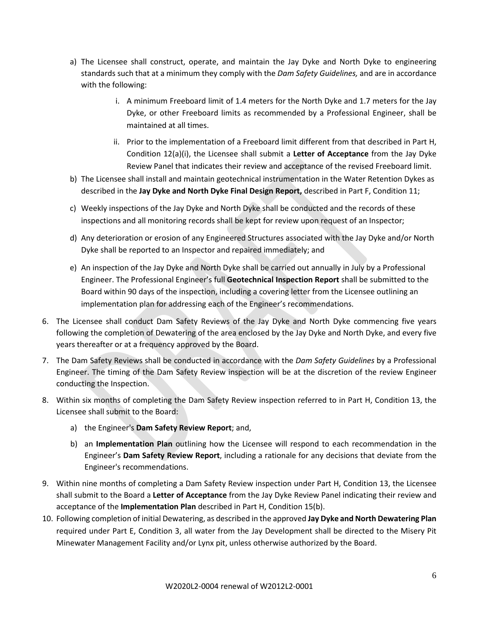- a) The Licensee shall construct, operate, and maintain the Jay Dyke and North Dyke to engineering standards such that at a minimum they comply with the *Dam Safety Guidelines,* and are in accordance with the following:
	- i. A minimum Freeboard limit of 1.4 meters for the North Dyke and 1.7 meters for the Jay Dyke, or other Freeboard limits as recommended by a Professional Engineer, shall be maintained at all times.
	- ii. Prior to the implementation of a Freeboard limit different from that described in Part H, Condition 12(a)(i), the Licensee shall submit a **Letter of Acceptance** from the Jay Dyke Review Panel that indicates their review and acceptance of the revised Freeboard limit.
- b) The Licensee shall install and maintain geotechnical instrumentation in the Water Retention Dykes as described in the **Jay Dyke and North Dyke Final Design Report,** described in Part F, Condition 11;
- c) Weekly inspections of the Jay Dyke and North Dyke shall be conducted and the records of these inspections and all monitoring records shall be kept for review upon request of an Inspector;
- d) Any deterioration or erosion of any Engineered Structures associated with the Jay Dyke and/or North Dyke shall be reported to an Inspector and repaired immediately; and
- e) An inspection of the Jay Dyke and North Dyke shall be carried out annually in July by a Professional Engineer. The Professional Engineer's full **Geotechnical Inspection Report** shall be submitted to the Board within 90 days of the inspection, including a covering letter from the Licensee outlining an implementation plan for addressing each of the Engineer's recommendations.
- 6. The Licensee shall conduct Dam Safety Reviews of the Jay Dyke and North Dyke commencing five years following the completion of Dewatering of the area enclosed by the Jay Dyke and North Dyke, and every five years thereafter or at a frequency approved by the Board.
- 7. The Dam Safety Reviews shall be conducted in accordance with the *Dam Safety Guidelines* by a Professional Engineer. The timing of the Dam Safety Review inspection will be at the discretion of the review Engineer conducting the Inspection.
- 8. Within six months of completing the Dam Safety Review inspection referred to in Part H, Condition 13, the Licensee shall submit to the Board:
	- a) the Engineer's **Dam Safety Review Report**; and,
	- b) an **Implementation Plan** outlining how the Licensee will respond to each recommendation in the Engineer's **Dam Safety Review Report**, including a rationale for any decisions that deviate from the Engineer's recommendations.
- 9. Within nine months of completing a Dam Safety Review inspection under Part H, Condition 13, the Licensee shall submit to the Board a **Letter of Acceptance** from the Jay Dyke Review Panel indicating their review and acceptance of the **Implementation Plan** described in Part H, Condition 15(b).
- 10. Following completion of initial Dewatering, as described in the approved **Jay Dyke and North Dewatering Plan** required under Part E, Condition 3, all water from the Jay Development shall be directed to the Misery Pit Minewater Management Facility and/or Lynx pit, unless otherwise authorized by the Board.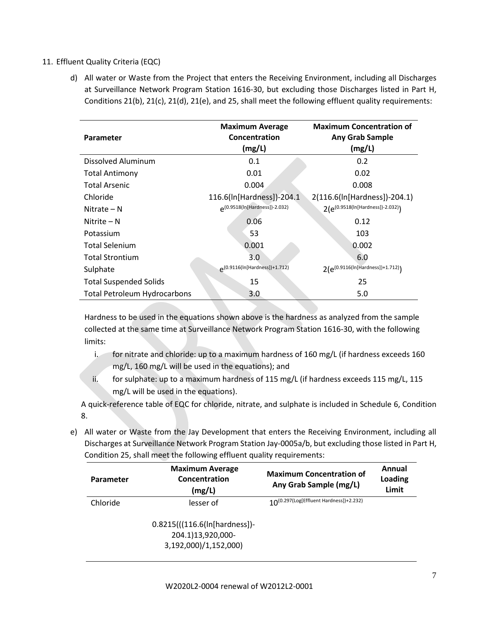### 11. Effluent Quality Criteria (EQC)

d) All water or Waste from the Project that enters the Receiving Environment, including all Discharges at Surveillance Network Program Station 1616-30, but excluding those Discharges listed in Part H, Conditions 21(b), 21(c), 21(d), 21(e), and 25, shall meet the following effluent quality requirements:

| Parameter                           | <b>Maximum Average</b><br>Concentration<br>(mg/L) | <b>Maximum Concentration of</b><br><b>Any Grab Sample</b><br>(mg/L) |
|-------------------------------------|---------------------------------------------------|---------------------------------------------------------------------|
| Dissolved Aluminum                  | 0.1                                               | 0.2                                                                 |
| <b>Total Antimony</b>               | 0.01                                              | 0.02                                                                |
| <b>Total Arsenic</b>                | 0.004                                             | 0.008                                                               |
| Chloride                            | 116.6(ln[Hardness])-204.1                         | 2(116.6(ln[Hardness])-204.1)                                        |
| Nitrate – N                         | p(0.9518(In[Hardness])-2.032)                     | $2(e^{(0.9518(ln[Hardness])-2.032)})$                               |
| Nitrite $- N$                       | 0.06                                              | 0.12                                                                |
| Potassium                           | 53                                                | 103                                                                 |
| <b>Total Selenium</b>               | 0.001                                             | 0.002                                                               |
| <b>Total Strontium</b>              | 3.0                                               | 6.0                                                                 |
| Sulphate                            | 0.9116(In[Hardness])+1.712)                       | 2(e <sup>(0.9116(ln[Hardness])+1.712)</sup> )                       |
| <b>Total Suspended Solids</b>       | 15                                                | 25                                                                  |
| <b>Total Petroleum Hydrocarbons</b> | 3.0                                               | 5.0                                                                 |

Hardness to be used in the equations shown above is the hardness as analyzed from the sample collected at the same time at Surveillance Network Program Station 1616-30, with the following limits:

- i. for nitrate and chloride: up to a maximum hardness of 160 mg/L (if hardness exceeds 160 mg/L, 160 mg/L will be used in the equations); and
- ii. for sulphate: up to a maximum hardness of 115 mg/L (if hardness exceeds 115 mg/L, 115 mg/L will be used in the equations).

A quick-reference table of EQC for chloride, nitrate, and sulphate is included in Schedule 6, Condition 8.

e) All water or Waste from the Jay Development that enters the Receiving Environment, including all Discharges at Surveillance Network Program Station Jay-0005a/b, but excluding those listed in Part H, Condition 25, shall meet the following effluent quality requirements:

| <b>Parameter</b> | <b>Maximum Average</b><br>Concentration<br>(mg/L)                           | <b>Maximum Concentration of</b><br>Any Grab Sample (mg/L) | Annual<br>Loading<br>Limit |
|------------------|-----------------------------------------------------------------------------|-----------------------------------------------------------|----------------------------|
| Chloride         | lesser of                                                                   | $10^{(0.297(\text{Log[Effluent Hardness])}+2.232)}$       |                            |
|                  | 0.8215(((116.6(ln[hardness])-<br>204.1)13,920,000-<br>3,192,000)/1,152,000) |                                                           |                            |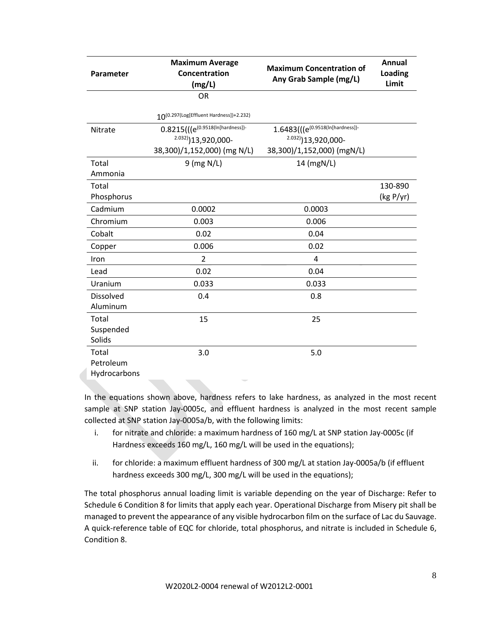| Parameter        | <b>Maximum Average</b><br>Concentration<br>(mg/L)   | <b>Maximum Concentration of</b><br>Any Grab Sample (mg/L) | Annual<br>Loading<br>Limit |
|------------------|-----------------------------------------------------|-----------------------------------------------------------|----------------------------|
|                  | <b>OR</b>                                           |                                                           |                            |
|                  | $10^{(0.297(\text{Log}[Effluent Hardness])+2.232)}$ |                                                           |                            |
| Nitrate          | $0.8215(((e^{(0.9518(ln[hardness])})$               | $1.6483$ ( $(e^{(0.9518(ln[hardness])}$                   |                            |
|                  | $2.032)$ ] 13,920,000-                              | $2.032)$ ] 13,920,000-                                    |                            |
|                  | 38,300)/1,152,000) (mg N/L)                         | 38,300)/1,152,000) (mgN/L)                                |                            |
| Total            | $9$ (mg N/L)                                        | 14 (mgN/L)                                                |                            |
| Ammonia          |                                                     |                                                           |                            |
| Total            |                                                     |                                                           | 130-890                    |
| Phosphorus       |                                                     |                                                           | (kg P/yr)                  |
| Cadmium          | 0.0002                                              | 0.0003                                                    |                            |
| Chromium         | 0.003                                               | 0.006                                                     |                            |
| Cobalt           | 0.02                                                | 0.04                                                      |                            |
| Copper           | 0.006                                               | 0.02                                                      |                            |
| Iron             | $\overline{2}$                                      | $\overline{4}$                                            |                            |
| Lead             | 0.02                                                | 0.04                                                      |                            |
| Uranium          | 0.033                                               | 0.033                                                     |                            |
| <b>Dissolved</b> | 0.4                                                 | 0.8                                                       |                            |
| Aluminum         |                                                     |                                                           |                            |
| Total            | 15                                                  | 25                                                        |                            |
| Suspended        |                                                     |                                                           |                            |
| Solids           |                                                     |                                                           |                            |
| Total            | 3.0                                                 | 5.0                                                       |                            |
| Petroleum        |                                                     |                                                           |                            |
| Hydrocarbons     |                                                     |                                                           |                            |

In the equations shown above, hardness refers to lake hardness, as analyzed in the most recent sample at SNP station Jay-0005c, and effluent hardness is analyzed in the most recent sample collected at SNP station Jay-0005a/b, with the following limits:

- i. for nitrate and chloride: a maximum hardness of 160 mg/L at SNP station Jay-0005c (if Hardness exceeds 160 mg/L, 160 mg/L will be used in the equations);
- ii. for chloride: a maximum effluent hardness of 300 mg/L at station Jay-0005a/b (if effluent hardness exceeds 300 mg/L, 300 mg/L will be used in the equations);

The total phosphorus annual loading limit is variable depending on the year of Discharge: Refer to Schedule 6 Condition 8 for limits that apply each year. Operational Discharge from Misery pit shall be managed to prevent the appearance of any visible hydrocarbon film on the surface of Lac du Sauvage. A quick-reference table of EQC for chloride, total phosphorus, and nitrate is included in Schedule 6, Condition 8.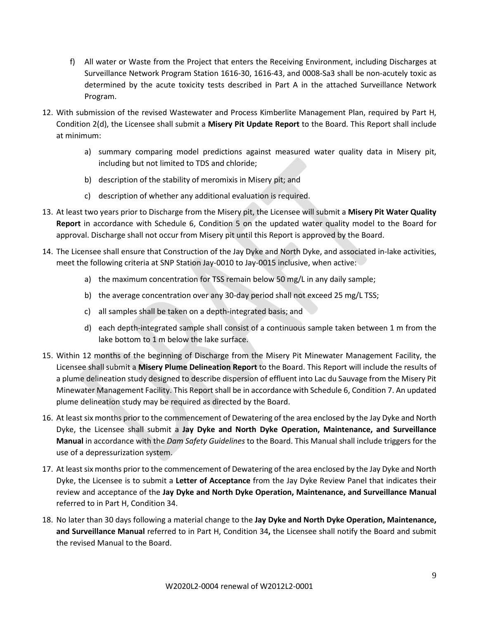- f) All water or Waste from the Project that enters the Receiving Environment, including Discharges at Surveillance Network Program Station 1616-30, 1616-43, and 0008-Sa3 shall be non-acutely toxic as determined by the acute toxicity tests described in Part A in the attached Surveillance Network Program.
- 12. With submission of the revised Wastewater and Process Kimberlite Management Plan, required by Part H, Condition 2(d), the Licensee shall submit a **Misery Pit Update Report** to the Board. This Report shall include at minimum:
	- a) summary comparing model predictions against measured water quality data in Misery pit, including but not limited to TDS and chloride;
	- b) description of the stability of meromixis in Misery pit; and
	- c) description of whether any additional evaluation is required.
- 13. At least two years prior to Discharge from the Misery pit, the Licensee will submit a **Misery Pit Water Quality Report** in accordance with Schedule 6, Condition 5 on the updated water quality model to the Board for approval. Discharge shall not occur from Misery pit until this Report is approved by the Board.
- 14. The Licensee shall ensure that Construction of the Jay Dyke and North Dyke, and associated in-lake activities, meet the following criteria at SNP Station Jay-0010 to Jay-0015 inclusive, when active:
	- a) the maximum concentration for TSS remain below 50 mg/L in any daily sample;
	- b) the average concentration over any 30-day period shall not exceed 25 mg/L TSS;
	- c) all samples shall be taken on a depth-integrated basis; and
	- d) each depth-integrated sample shall consist of a continuous sample taken between 1 m from the lake bottom to 1 m below the lake surface.
- 15. Within 12 months of the beginning of Discharge from the Misery Pit Minewater Management Facility, the Licensee shall submit a **Misery Plume Delineation Report** to the Board. This Report will include the results of a plume delineation study designed to describe dispersion of effluent into Lac du Sauvage from the Misery Pit Minewater Management Facility. This Report shall be in accordance with Schedule 6, Condition 7. An updated plume delineation study may be required as directed by the Board.
- 16. At least six months prior to the commencement of Dewatering of the area enclosed by the Jay Dyke and North Dyke, the Licensee shall submit a **Jay Dyke and North Dyke Operation, Maintenance, and Surveillance Manual** in accordance with the *Dam Safety Guidelines* to the Board. This Manual shall include triggers for the use of a depressurization system.
- 17. At least six months prior to the commencement of Dewatering of the area enclosed by the Jay Dyke and North Dyke, the Licensee is to submit a **Letter of Acceptance** from the Jay Dyke Review Panel that indicates their review and acceptance of the **Jay Dyke and North Dyke Operation, Maintenance, and Surveillance Manual**  referred to in Part H, Condition 34.
- 18. No later than 30 days following a material change to the **Jay Dyke and North Dyke Operation, Maintenance, and Surveillance Manual** referred to in Part H, Condition 34**,** the Licensee shall notify the Board and submit the revised Manual to the Board.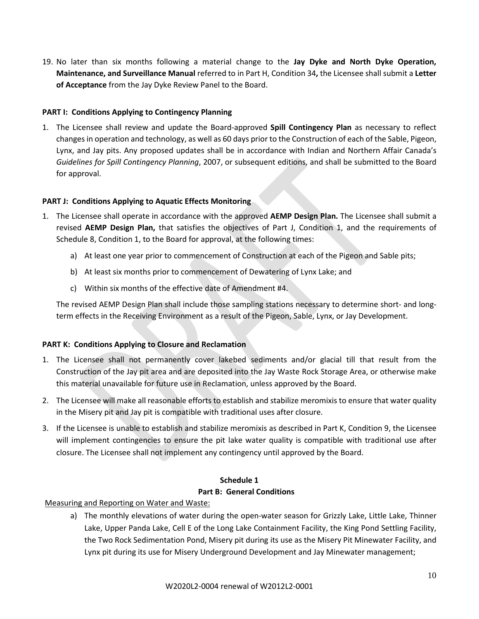19. No later than six months following a material change to the **Jay Dyke and North Dyke Operation, Maintenance, and Surveillance Manual** referred to in Part H, Condition 34**,** the Licensee shall submit a **Letter of Acceptance** from the Jay Dyke Review Panel to the Board.

### **PART I: Conditions Applying to Contingency Planning**

1. The Licensee shall review and update the Board-approved **Spill Contingency Plan** as necessary to reflect changes in operation and technology, as well as 60 days prior to the Construction of each of the Sable, Pigeon, Lynx, and Jay pits. Any proposed updates shall be in accordance with Indian and Northern Affair Canada's *Guidelines for Spill Contingency Planning*, 2007, or subsequent editions, and shall be submitted to the Board for approval.

### **PART J: Conditions Applying to Aquatic Effects Monitoring**

- 1. The Licensee shall operate in accordance with the approved **AEMP Design Plan.** The Licensee shall submit a revised **AEMP Design Plan,** that satisfies the objectives of Part J, Condition 1, and the requirements of Schedule 8, Condition 1, to the Board for approval, at the following times:
	- a) At least one year prior to commencement of Construction at each of the Pigeon and Sable pits;
	- b) At least six months prior to commencement of Dewatering of Lynx Lake; and
	- c) Within six months of the effective date of Amendment #4.

The revised AEMP Design Plan shall include those sampling stations necessary to determine short- and longterm effects in the Receiving Environment as a result of the Pigeon, Sable, Lynx, or Jay Development.

### **PART K: Conditions Applying to Closure and Reclamation**

- 1. The Licensee shall not permanently cover lakebed sediments and/or glacial till that result from the Construction of the Jay pit area and are deposited into the Jay Waste Rock Storage Area, or otherwise make this material unavailable for future use in Reclamation, unless approved by the Board.
- 2. The Licensee will make all reasonable efforts to establish and stabilize meromixis to ensure that water quality in the Misery pit and Jay pit is compatible with traditional uses after closure.
- 3. If the Licensee is unable to establish and stabilize meromixis as described in Part K, Condition 9, the Licensee will implement contingencies to ensure the pit lake water quality is compatible with traditional use after closure. The Licensee shall not implement any contingency until approved by the Board.

# **Schedule 1**

#### **Part B: General Conditions**

Measuring and Reporting on Water and Waste:

a) The monthly elevations of water during the open-water season for Grizzly Lake, Little Lake, Thinner Lake, Upper Panda Lake, Cell E of the Long Lake Containment Facility, the King Pond Settling Facility, the Two Rock Sedimentation Pond, Misery pit during its use as the Misery Pit Minewater Facility, and Lynx pit during its use for Misery Underground Development and Jay Minewater management;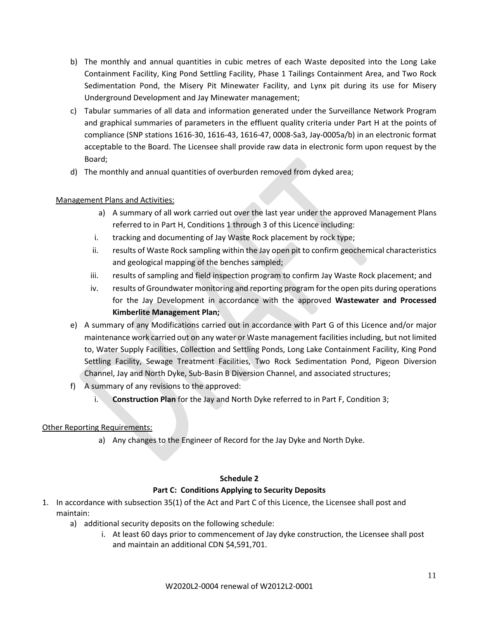- b) The monthly and annual quantities in cubic metres of each Waste deposited into the Long Lake Containment Facility, King Pond Settling Facility, Phase 1 Tailings Containment Area, and Two Rock Sedimentation Pond, the Misery Pit Minewater Facility, and Lynx pit during its use for Misery Underground Development and Jay Minewater management;
- c) Tabular summaries of all data and information generated under the Surveillance Network Program and graphical summaries of parameters in the effluent quality criteria under Part H at the points of compliance (SNP stations 1616-30, 1616-43, 1616-47, 0008-Sa3, Jay-0005a/b) in an electronic format acceptable to the Board. The Licensee shall provide raw data in electronic form upon request by the Board;
- d) The monthly and annual quantities of overburden removed from dyked area;

### Management Plans and Activities:

- a) A summary of all work carried out over the last year under the approved Management Plans referred to in Part H, Conditions 1 through 3 of this Licence including:
- i. tracking and documenting of Jay Waste Rock placement by rock type;
- ii. results of Waste Rock sampling within the Jay open pit to confirm geochemical characteristics and geological mapping of the benches sampled;
- iii. results of sampling and field inspection program to confirm Jay Waste Rock placement; and
- iv. results of Groundwater monitoring and reporting program for the open pits during operations for the Jay Development in accordance with the approved **Wastewater and Processed Kimberlite Management Plan;**
- e) A summary of any Modifications carried out in accordance with Part G of this Licence and/or major maintenance work carried out on any water or Waste management facilities including, but not limited to, Water Supply Facilities, Collection and Settling Ponds, Long Lake Containment Facility, King Pond Settling Facility, Sewage Treatment Facilities, Two Rock Sedimentation Pond, Pigeon Diversion Channel, Jay and North Dyke, Sub-Basin B Diversion Channel, and associated structures;
- f) A summary of any revisions to the approved:
	- i. **Construction Plan** for the Jay and North Dyke referred to in Part F, Condition 3;

### Other Reporting Requirements:

a) Any changes to the Engineer of Record for the Jay Dyke and North Dyke.

#### **Schedule 2**

### **Part C: Conditions Applying to Security Deposits**

- 1. In accordance with subsection 35(1) of the Act and Part C of this Licence, the Licensee shall post and maintain:
	- a) additional security deposits on the following schedule:
		- i. At least 60 days prior to commencement of Jay dyke construction, the Licensee shall post and maintain an additional CDN \$4,591,701.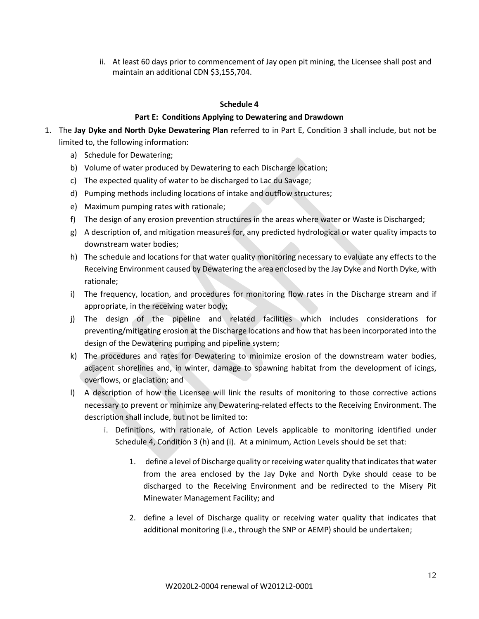ii. At least 60 days prior to commencement of Jay open pit mining, the Licensee shall post and maintain an additional CDN \$3,155,704.

#### **Schedule 4**

#### **Part E: Conditions Applying to Dewatering and Drawdown**

- 1. The **Jay Dyke and North Dyke Dewatering Plan** referred to in Part E, Condition 3 shall include, but not be limited to, the following information:
	- a) Schedule for Dewatering;
	- b) Volume of water produced by Dewatering to each Discharge location;
	- c) The expected quality of water to be discharged to Lac du Savage;
	- d) Pumping methods including locations of intake and outflow structures;
	- e) Maximum pumping rates with rationale;
	- f) The design of any erosion prevention structures in the areas where water or Waste is Discharged;
	- g) A description of, and mitigation measures for, any predicted hydrological or water quality impacts to downstream water bodies;
	- h) The schedule and locations for that water quality monitoring necessary to evaluate any effects to the Receiving Environment caused by Dewatering the area enclosed by the Jay Dyke and North Dyke, with rationale;
	- i) The frequency, location, and procedures for monitoring flow rates in the Discharge stream and if appropriate, in the receiving water body;
	- j) The design of the pipeline and related facilities which includes considerations for preventing/mitigating erosion at the Discharge locations and how that has been incorporated into the design of the Dewatering pumping and pipeline system;
	- k) The procedures and rates for Dewatering to minimize erosion of the downstream water bodies, adjacent shorelines and, in winter, damage to spawning habitat from the development of icings, overflows, or glaciation; and
	- l) A description of how the Licensee will link the results of monitoring to those corrective actions necessary to prevent or minimize any Dewatering-related effects to the Receiving Environment. The description shall include, but not be limited to:
		- i. Definitions, with rationale, of Action Levels applicable to monitoring identified under Schedule 4, Condition 3 (h) and (i). At a minimum, Action Levels should be set that:
			- 1. define a level of Discharge quality or receiving water quality that indicates that water from the area enclosed by the Jay Dyke and North Dyke should cease to be discharged to the Receiving Environment and be redirected to the Misery Pit Minewater Management Facility; and
			- 2. define a level of Discharge quality or receiving water quality that indicates that additional monitoring (i.e., through the SNP or AEMP) should be undertaken;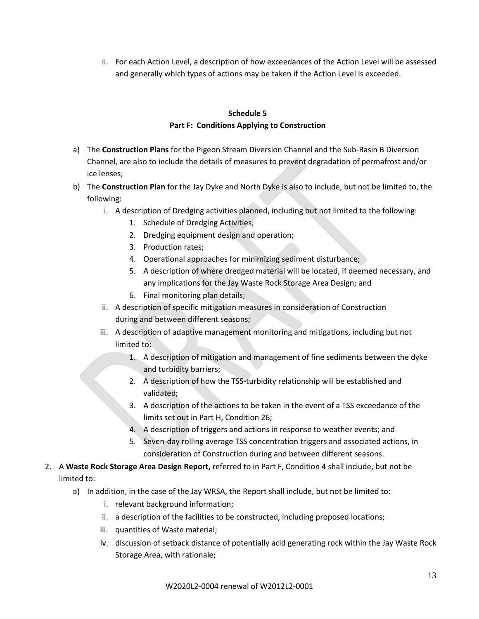ii. For each Action Level, a description of how exceedances of the Action Level will be assessed and generally which types of actions may be taken if the Action Level is exceeded.

## **Schedule 5 Part F: Conditions Applying to Construction**

- a) The **Construction Plans** for the Pigeon Stream Diversion Channel and the Sub-Basin B Diversion Channel, are also to include the details of measures to prevent degradation of permafrost and/or ice lenses;
- b) The **Construction Plan** for the Jay Dyke and North Dyke is also to include, but not be limited to, the following:
	- i. A description of Dredging activities planned, including but not limited to the following:
		- 1. Schedule of Dredging Activities;
		- 2. Dredging equipment design and operation;
		- 3. Production rates;
		- 4. Operational approaches for minimizing sediment disturbance;
		- 5. A description of where dredged material will be located, if deemed necessary, and any implications for the Jay Waste Rock Storage Area Design; and
		- 6. Final monitoring plan details;
	- ii. A description of specific mitigation measures in consideration of Construction during and between different seasons;
	- iii. A description of adaptive management monitoring and mitigations, including but not limited to:
		- 1. A description of mitigation and management of fine sediments between the dyke and turbidity barriers;
		- 2. A description of how the TSS-turbidity relationship will be established and validated;
		- 3. A description of the actions to be taken in the event of a TSS exceedance of the limits set out in Part H, Condition 26;
		- 4. A description of triggers and actions in response to weather events; and
		- 5. Seven-day rolling average TSS concentration triggers and associated actions, in consideration of Construction during and between different seasons.
- 2. A **Waste Rock Storage Area Design Report,** referred to in Part F, Condition 4 shall include, but not be limited to:
	- a) In addition, in the case of the Jay WRSA, the Report shall include, but not be limited to:
		- i. relevant background information;
		- ii. a description of the facilities to be constructed, including proposed locations;
		- iii. quantities of Waste material;
		- iv. discussion of setback distance of potentially acid generating rock within the Jay Waste Rock Storage Area, with rationale;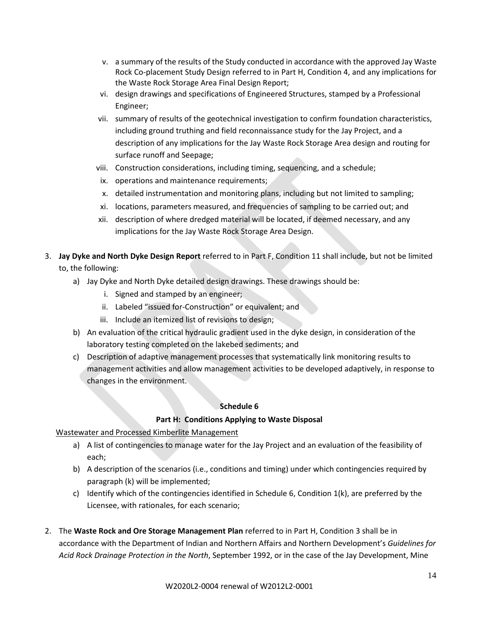- v. a summary of the results of the Study conducted in accordance with the approved Jay Waste Rock Co-placement Study Design referred to in Part H, Condition 4, and any implications for the Waste Rock Storage Area Final Design Report;
- vi. design drawings and specifications of Engineered Structures, stamped by a Professional Engineer;
- vii. summary of results of the geotechnical investigation to confirm foundation characteristics, including ground truthing and field reconnaissance study for the Jay Project, and a description of any implications for the Jay Waste Rock Storage Area design and routing for surface runoff and Seepage;
- viii. Construction considerations, including timing, sequencing, and a schedule;
- ix. operations and maintenance requirements;
- x. detailed instrumentation and monitoring plans, including but not limited to sampling;
- xi. locations, parameters measured, and frequencies of sampling to be carried out; and
- xii. description of where dredged material will be located, if deemed necessary, and any implications for the Jay Waste Rock Storage Area Design.
- 3. **Jay Dyke and North Dyke Design Report** referred to in Part F, Condition 11 shall include, but not be limited to, the following:
	- a) Jay Dyke and North Dyke detailed design drawings. These drawings should be:
		- i. Signed and stamped by an engineer;
		- ii. Labeled "issued for-Construction" or equivalent; and
		- iii. Include an itemized list of revisions to design;
	- b) An evaluation of the critical hydraulic gradient used in the dyke design, in consideration of the laboratory testing completed on the lakebed sediments; and
	- c) Description of adaptive management processes that systematically link monitoring results to management activities and allow management activities to be developed adaptively, in response to changes in the environment.

### **Schedule 6**

### **Part H: Conditions Applying to Waste Disposal**

### Wastewater and Processed Kimberlite Management

- a) A list of contingencies to manage water for the Jay Project and an evaluation of the feasibility of each;
- b) A description of the scenarios (i.e., conditions and timing) under which contingencies required by paragraph (k) will be implemented;
- c) Identify which of the contingencies identified in Schedule 6, Condition  $1(k)$ , are preferred by the Licensee, with rationales, for each scenario;
- 2. The **Waste Rock and Ore Storage Management Plan** referred to in Part H, Condition 3 shall be in accordance with the Department of Indian and Northern Affairs and Northern Development's *Guidelines for Acid Rock Drainage Protection in the North*, September 1992, or in the case of the Jay Development, Mine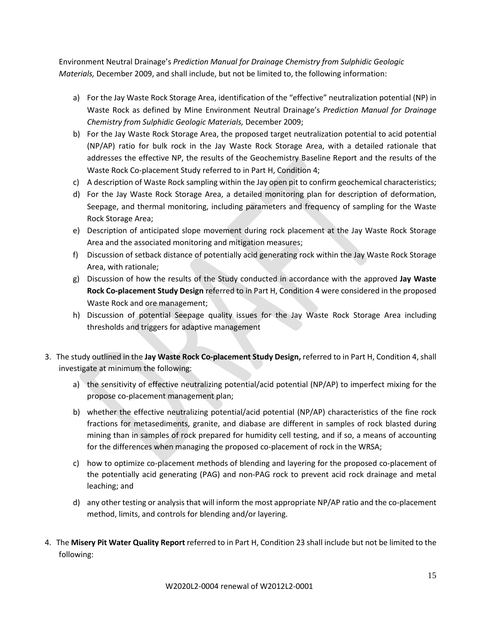Environment Neutral Drainage's *Prediction Manual for Drainage Chemistry from Sulphidic Geologic Materials,* December 2009, and shall include, but not be limited to, the following information:

- a) For the Jay Waste Rock Storage Area, identification of the "effective" neutralization potential (NP) in Waste Rock as defined by Mine Environment Neutral Drainage's *Prediction Manual for Drainage Chemistry from Sulphidic Geologic Materials,* December 2009;
- b) For the Jay Waste Rock Storage Area, the proposed target neutralization potential to acid potential (NP/AP) ratio for bulk rock in the Jay Waste Rock Storage Area, with a detailed rationale that addresses the effective NP, the results of the Geochemistry Baseline Report and the results of the Waste Rock Co-placement Study referred to in Part H, Condition 4;
- c) A description of Waste Rock sampling within the Jay open pit to confirm geochemical characteristics;
- d) For the Jay Waste Rock Storage Area, a detailed monitoring plan for description of deformation, Seepage, and thermal monitoring, including parameters and frequency of sampling for the Waste Rock Storage Area;
- e) Description of anticipated slope movement during rock placement at the Jay Waste Rock Storage Area and the associated monitoring and mitigation measures;
- f) Discussion of setback distance of potentially acid generating rock within the Jay Waste Rock Storage Area, with rationale;
- g) Discussion of how the results of the Study conducted in accordance with the approved **Jay Waste Rock Co-placement Study Design** referred to in Part H, Condition 4 were considered in the proposed Waste Rock and ore management;
- h) Discussion of potential Seepage quality issues for the Jay Waste Rock Storage Area including thresholds and triggers for adaptive management
- 3. The study outlined in the **Jay Waste Rock Co-placement Study Design,** referred to in Part H, Condition 4,shall investigate at minimum the following:
	- a) the sensitivity of effective neutralizing potential/acid potential (NP/AP) to imperfect mixing for the propose co-placement management plan;
	- b) whether the effective neutralizing potential/acid potential (NP/AP) characteristics of the fine rock fractions for metasediments, granite, and diabase are different in samples of rock blasted during mining than in samples of rock prepared for humidity cell testing, and if so, a means of accounting for the differences when managing the proposed co-placement of rock in the WRSA;
	- c) how to optimize co-placement methods of blending and layering for the proposed co-placement of the potentially acid generating (PAG) and non-PAG rock to prevent acid rock drainage and metal leaching; and
	- d) any other testing or analysis that will inform the most appropriate NP/AP ratio and the co-placement method, limits, and controls for blending and/or layering.
- 4. The **Misery Pit Water Quality Report** referred to in Part H, Condition 23 shall include but not be limited to the following: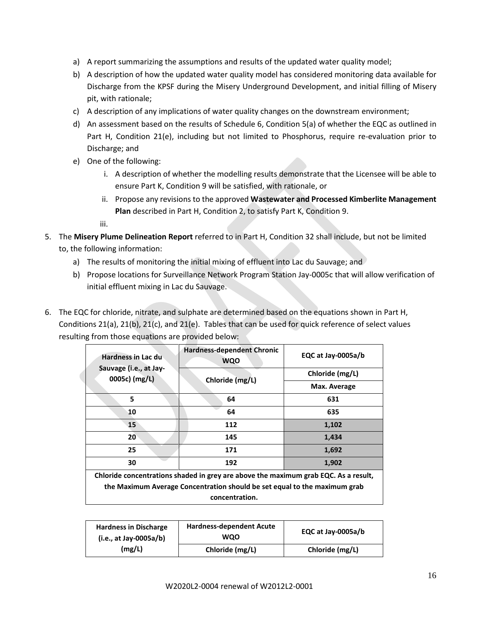- a) A report summarizing the assumptions and results of the updated water quality model;
- b) A description of how the updated water quality model has considered monitoring data available for Discharge from the KPSF during the Misery Underground Development, and initial filling of Misery pit, with rationale;
- c) A description of any implications of water quality changes on the downstream environment;
- d) An assessment based on the results of Schedule 6, Condition 5(a) of whether the EQC as outlined in Part H, Condition 21(e), including but not limited to Phosphorus, require re-evaluation prior to Discharge; and
- e) One of the following:
	- i. A description of whether the modelling results demonstrate that the Licensee will be able to ensure Part K, Condition 9 will be satisfied, with rationale, or
	- ii. Propose any revisions to the approved **Wastewater and Processed Kimberlite Management Plan** described in Part H, Condition 2, to satisfy Part K, Condition 9.

iii.

- 5. The **Misery Plume Delineation Report** referred to in Part H, Condition 32 shall include, but not be limited to, the following information:
	- a) The results of monitoring the initial mixing of effluent into Lac du Sauvage; and
	- b) Propose locations for Surveillance Network Program Station Jay-0005c that will allow verification of initial effluent mixing in Lac du Sauvage.
- 6. The EQC for chloride, nitrate, and sulphate are determined based on the equations shown in Part H, Conditions 21(a), 21(b), 21(c), and 21(e). Tables that can be used for quick reference of select values resulting from those equations are provided below:

| <b>Hardness in Lac du</b>                                                           | <b>Hardness-dependent Chronic</b><br><b>WQO</b> | EQC at Jay-0005a/b |  |
|-------------------------------------------------------------------------------------|-------------------------------------------------|--------------------|--|
| Sauvage (i.e., at Jay-<br>0005c) (mg/L)                                             | Chloride (mg/L)                                 | Chloride (mg/L)    |  |
|                                                                                     |                                                 | Max. Average       |  |
| 5                                                                                   | 64                                              | 631                |  |
| 10                                                                                  | 64                                              | 635                |  |
| 15                                                                                  | 112                                             | 1,102              |  |
| 20                                                                                  | 145                                             | 1,434              |  |
| 25                                                                                  | 171                                             | 1,692              |  |
| 30                                                                                  | 192                                             | 1,902              |  |
| Chloride concentrations shaded in grey are above the maximum grab EQC. As a result, |                                                 |                    |  |
| the Maximum Average Concentration should be set equal to the maximum grab           |                                                 |                    |  |
|                                                                                     | concentration.                                  |                    |  |

| <b>Hardness in Discharge</b><br>$(i.e., at Jay-0005a/b)$ | <b>Hardness-dependent Acute</b><br><b>WQO</b> | EQC at Jay-0005a/b |
|----------------------------------------------------------|-----------------------------------------------|--------------------|
| (mg/L)                                                   | Chloride (mg/L)                               | Chloride (mg/L)    |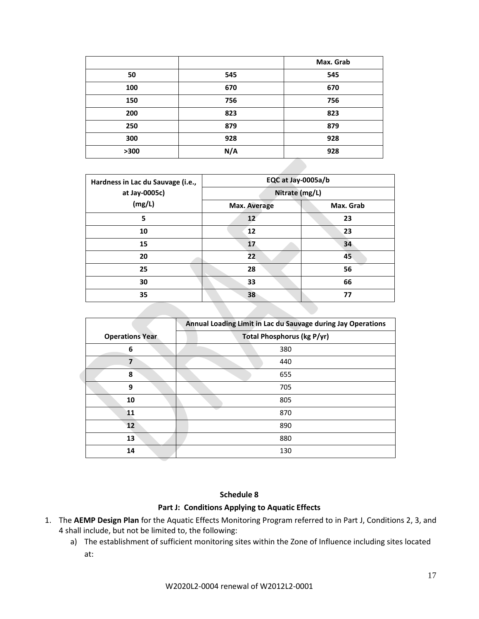|      |     | Max. Grab |
|------|-----|-----------|
| 50   | 545 | 545       |
| 100  | 670 | 670       |
| 150  | 756 | 756       |
| 200  | 823 | 823       |
| 250  | 879 | 879       |
| 300  | 928 | 928       |
| >300 | N/A | 928       |

| Hardness in Lac du Sauvage (i.e., | EQC at Jay-0005a/b |           |  |
|-----------------------------------|--------------------|-----------|--|
| at Jay-0005c)                     | Nitrate (mg/L)     |           |  |
| (mg/L)                            | Max. Average       | Max. Grab |  |
| 5                                 | 12                 | 23        |  |
| 10                                | 12                 | 23        |  |
| 15                                | 17                 | 34        |  |
| 20                                | 22                 | 45        |  |
| 25                                | 28                 | 56        |  |
| 30                                | 33                 | 66        |  |
| 35                                | 38                 | 77        |  |
|                                   |                    |           |  |

|                        | Annual Loading Limit in Lac du Sauvage during Jay Operations |
|------------------------|--------------------------------------------------------------|
| <b>Operations Year</b> | <b>Total Phosphorus (kg P/yr)</b>                            |
| 6                      | 380                                                          |
| 7                      | 440                                                          |
| 8                      | 655                                                          |
| 9                      | 705                                                          |
| 10                     | 805                                                          |
| 11                     | 870                                                          |
| $12 \overline{ }$      | 890                                                          |
| 13                     | 880                                                          |
| 14                     | 130                                                          |

#### **Schedule 8**

### **Part J: Conditions Applying to Aquatic Effects**

- 1. The **AEMP Design Plan** for the Aquatic Effects Monitoring Program referred to in Part J, Conditions 2, 3, and 4 shall include, but not be limited to, the following:
	- a) The establishment of sufficient monitoring sites within the Zone of Influence including sites located at: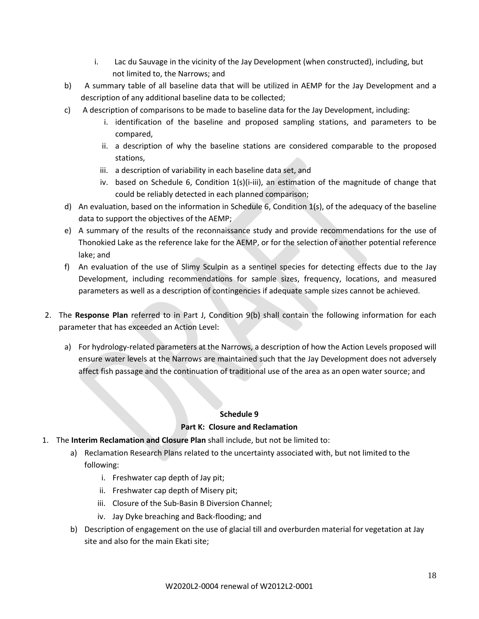- i. Lac du Sauvage in the vicinity of the Jay Development (when constructed), including, but not limited to, the Narrows; and
- b) A summary table of all baseline data that will be utilized in AEMP for the Jay Development and a description of any additional baseline data to be collected;
- c) A description of comparisons to be made to baseline data for the Jay Development, including:
	- i. identification of the baseline and proposed sampling stations, and parameters to be compared,
	- ii. a description of why the baseline stations are considered comparable to the proposed stations,
	- iii. a description of variability in each baseline data set, and
	- iv. based on Schedule 6, Condition  $1(s)(i-iii)$ , an estimation of the magnitude of change that could be reliably detected in each planned comparison;
- d) An evaluation, based on the information in Schedule 6, Condition 1(s), of the adequacy of the baseline data to support the objectives of the AEMP;
- e) A summary of the results of the reconnaissance study and provide recommendations for the use of Thonokied Lake as the reference lake for the AEMP, or for the selection of another potential reference lake; and
- f) An evaluation of the use of Slimy Sculpin as a sentinel species for detecting effects due to the Jay Development, including recommendations for sample sizes, frequency, locations, and measured parameters as well as a description of contingencies if adequate sample sizes cannot be achieved.
- 2. The **Response Plan** referred to in Part J, Condition 9(b) shall contain the following information for each parameter that has exceeded an Action Level:
	- a) For hydrology-related parameters at the Narrows, a description of how the Action Levels proposed will ensure water levels at the Narrows are maintained such that the Jay Development does not adversely affect fish passage and the continuation of traditional use of the area as an open water source; and

### **Schedule 9**

### **Part K: Closure and Reclamation**

- 1. The **Interim Reclamation and Closure Plan** shall include, but not be limited to:
	- a) Reclamation Research Plans related to the uncertainty associated with, but not limited to the following:
		- i. Freshwater cap depth of Jay pit;
		- ii. Freshwater cap depth of Misery pit;
		- iii. Closure of the Sub-Basin B Diversion Channel;
		- iv. Jay Dyke breaching and Back-flooding; and
	- b) Description of engagement on the use of glacial till and overburden material for vegetation at Jay site and also for the main Ekati site;